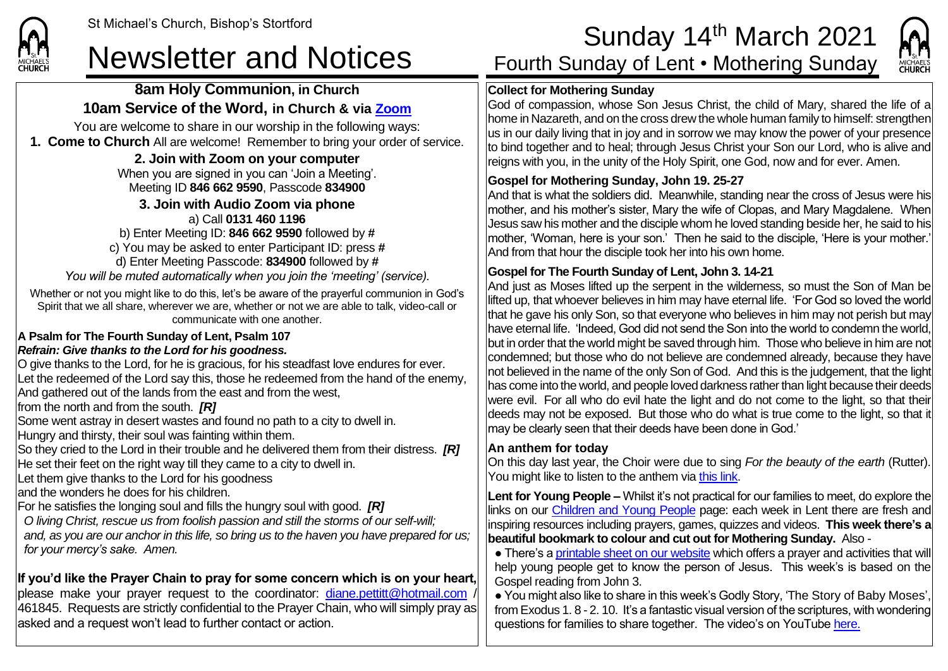### **8am Holy Communion, in Church 10am Service of the Word, in Church & via [Zoom](https://zoom.us/)**

You are welcome to share in our worship in the following ways: **1. Come to Church** All are welcome! Remember to bring your order of service.

### **2. Join with Zoom on your computer**

When you are signed in you can 'Join a Meeting'. Meeting ID **846 662 9590**, Passcode **834900**

#### **3. Join with Audio Zoom via phone**  a) Call **0131 460 1196**

b) Enter Meeting ID: **846 662 9590** followed by **#** c) You may be asked to enter Participant ID: press **#** d) Enter Meeting Passcode: **834900** followed by **#** *You will be muted automatically when you join the 'meeting' (service).*

Whether or not you might like to do this, let's be aware of the prayerful communion in God's Spirit that we all share, wherever we are, whether or not we are able to talk, video-call or communicate with one another.

#### **A Psalm for The Fourth Sunday of Lent, Psalm 107** *Refrain: Give thanks to the Lord for his goodness.*

O give thanks to the Lord, for he is gracious, for his steadfast love endures for ever. Let the redeemed of the Lord say this, those he redeemed from the hand of the enemy, And gathered out of the lands from the east and from the west,

from the north and from the south. *[R]*

Some went astray in desert wastes and found no path to a city to dwell in.

Hungry and thirsty, their soul was fainting within them.

So they cried to the Lord in their trouble and he delivered them from their distress. *[R]* He set their feet on the right way till they came to a city to dwell in.

Let them give thanks to the Lord for his goodness

and the wonders he does for his children.

For he satisfies the longing soul and fills the hungry soul with good. *[R]*

*O living Christ, rescue us from foolish passion and still the storms of our self-will; and, as you are our anchor in this life, so bring us to the haven you have prepared for us; for your mercy's sake. Amen.*

# **If you'd like the Prayer Chain to pray for some concern which is on your heart,**

please make your prayer request to the coordinator: [diane.pettitt@hotmail.com](mailto:diane.pettitt@hotmail.com) / 461845. Requests are strictly confidential to the Prayer Chain, who will simply pray as asked and a request won't lead to further contact or action.

# St Michael's Church, Bishop's Stortford **Sunday 14<sup>th</sup> March 2021**<br>Newsletter and Notices Fourth Sunday of Lent • Mothering Sunday



## **Collect for Mothering Sunday**

God of compassion, whose Son Jesus Christ, the child of Mary, shared the life of a home in Nazareth, and on the cross drew the whole human family to himself: strengthen us in our daily living that in joy and in sorrow we may know the power of your presence to bind together and to heal; through Jesus Christ your Son our Lord, who is alive and reigns with you, in the unity of the Holy Spirit, one God, now and for ever. Amen.

## **Gospel for Mothering Sunday, John 19. 25-27**

And that is what the soldiers did. Meanwhile, standing near the cross of Jesus were his mother, and his mother's sister, Mary the wife of Clopas, and Mary Magdalene. When Jesus saw his mother and the disciple whom he loved standing beside her, he said to his mother, 'Woman, here is your son.' Then he said to the disciple, 'Here is your mother.' And from that hour the disciple took her into his own home.

## **Gospel for The Fourth Sunday of Lent, John 3. 14-21**

And just as Moses lifted up the serpent in the wilderness, so must the Son of Man be lifted up, that whoever believes in him may have eternal life. 'For God so loved the world that he gave his only Son, so that everyone who believes in him may not perish but may have eternal life. 'Indeed, God did not send the Son into the world to condemn the world, but in order that the world might be saved through him. Those who believe in him are not condemned; but those who do not believe are condemned already, because they have not believed in the name of the only Son of God. And this is the judgement, that the light has come into the world, and people loved darkness rather than light because their deeds were evil. For all who do evil hate the light and do not come to the light, so that their deeds may not be exposed. But those who do what is true come to the light, so that it may be clearly seen that their deeds have been done in God.'

## **An anthem for today**

On this day last year, the Choir were due to sing *For the beauty of the earth* (Rutter). You might like to listen to the anthem via [this link.](https://www.youtube.com/watch?v=1bDoMflYErE)

**Lent for Young People –** Whilst it's not practical for our families to meet, do explore the links on our [Children and Young People](https://saintmichaelweb.org.uk/Groups/310496/Children_and_Young.aspx) page: each week in Lent there are fresh and inspiring resources including prayers, games, quizzes and videos. **This week there's a beautiful bookmark to colour and cut out for Mothering Sunday.** Also -

• There's [a printable sheet on our website](https://saintmichaelweb.org.uk/Groups/310496/Children_and_Young.aspx) which offers a prayer and activities that will help young people get to know the person of Jesus. This week's is based on the Gospel reading from John 3.

● You might also like to share in this week's Godly Story, 'The Story of Baby Moses', from Exodus 1. 8 - 2. 10. It's a fantastic visual version of the scriptures, with wondering questions for families to share together. The video's on YouTub[e here.](https://www.youtube.com/watch?v=XuFgkGJEwYI)